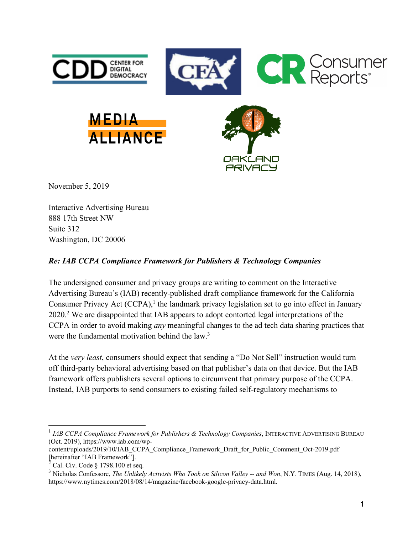

November 5, 2019

Interactive Advertising Bureau 888 17th Street NW Suite 312 Washington, DC 20006

## *Re: IAB CCPA Compliance Framework for Publishers & Technology Companies*

The undersigned consumer and privacy groups are writing to comment on the Interactive Advertising Bureau's (IAB) recently-published draft compliance framework for the California Consumer Privacy Act  $(CCPA)$ ,<sup>1</sup> the landmark privacy legislation set to go into effect in January 2020.2 We are disappointed that IAB appears to adopt contorted legal interpretations of the CCPA in order to avoid making *any* meaningful changes to the ad tech data sharing practices that were the fundamental motivation behind the law.<sup>3</sup>

At the *very least*, consumers should expect that sending a "Do Not Sell" instruction would turn off third-party behavioral advertising based on that publisher's data on that device. But the IAB framework offers publishers several options to circumvent that primary purpose of the CCPA. Instead, IAB purports to send consumers to existing failed self-regulatory mechanisms to

 $\overline{a}$ 

<sup>1</sup> *IAB CCPA Compliance Framework for Publishers & Technology Companies*, INTERACTIVE ADVERTISING BUREAU (Oct. 2019), https://www.iab.com/wp-

content/uploads/2019/10/IAB\_CCPA\_Compliance\_Framework\_Draft\_for\_Public\_Comment\_Oct-2019.pdf [hereinafter "IAB Framework"].

 $2$  Cal. Civ. Code § 1798.100 et seq.

<sup>3</sup> Nicholas Confessore, *The Unlikely Activists Who Took on Silicon Valley -- and Won*, N.Y. TIMES (Aug. 14, 2018), https://www.nytimes.com/2018/08/14/magazine/facebook-google-privacy-data.html.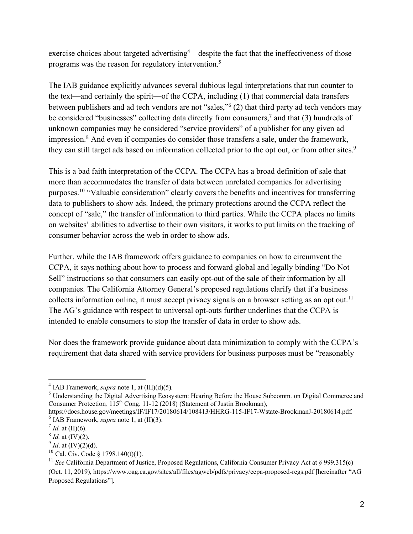exercise choices about targeted advertising<sup>4</sup>—despite the fact that the ineffectiveness of those programs was the reason for regulatory intervention.5

The IAB guidance explicitly advances several dubious legal interpretations that run counter to the text—and certainly the spirit—of the CCPA, including (1) that commercial data transfers between publishers and ad tech vendors are not "sales,"6 (2) that third party ad tech vendors may be considered "businesses" collecting data directly from consumers,<sup>7</sup> and that (3) hundreds of unknown companies may be considered "service providers" of a publisher for any given ad impression.<sup>8</sup> And even if companies do consider those transfers a sale, under the framework, they can still target ads based on information collected prior to the opt out, or from other sites.<sup>9</sup>

This is a bad faith interpretation of the CCPA. The CCPA has a broad definition of sale that more than accommodates the transfer of data between unrelated companies for advertising purposes.10 "Valuable consideration" clearly covers the benefits and incentives for transferring data to publishers to show ads. Indeed, the primary protections around the CCPA reflect the concept of "sale," the transfer of information to third parties. While the CCPA places no limits on websites' abilities to advertise to their own visitors, it works to put limits on the tracking of consumer behavior across the web in order to show ads.

Further, while the IAB framework offers guidance to companies on how to circumvent the CCPA, it says nothing about how to process and forward global and legally binding "Do Not Sell" instructions so that consumers can easily opt-out of the sale of their information by all companies. The California Attorney General's proposed regulations clarify that if a business collects information online, it must accept privacy signals on a browser setting as an opt out.<sup>11</sup> The AG's guidance with respect to universal opt-outs further underlines that the CCPA is intended to enable consumers to stop the transfer of data in order to show ads.

Nor does the framework provide guidance about data minimization to comply with the CCPA's requirement that data shared with service providers for business purposes must be "reasonably

 $\overline{a}$ 

<sup>&</sup>lt;sup>4</sup> IAB Framework, *supra* note 1, at  $(III)(d)(5)$ .

<sup>5</sup> Understanding the Digital Advertising Ecosystem: Hearing Before the House Subcomm. on Digital Commerce and Consumer Protection, 115<sup>th</sup> Cong. 11-12 (2018) (Statement of Justin Brookman),

https://docs.house.gov/meetings/IF/IF17/20180614/108413/HHRG-115-IF17-Wstate-BrookmanJ-20180614.pdf.  $6$  IAB Framework, *supra* note 1, at  $(II)(3)$ .

 $^7$  *Id.* at (II)(6).

 $8$  *Id.* at (IV)(2).

 $^{9}$  *Id.* at (IV)(2)(d).

 $10$  Cal. Civ. Code § 1798.140(t)(1).

<sup>&</sup>lt;sup>11</sup> *See* California Department of Justice, Proposed Regulations, California Consumer Privacy Act at § 999.315(c) (Oct. 11, 2019), https://www.oag.ca.gov/sites/all/files/agweb/pdfs/privacy/ccpa-proposed-regs.pdf [hereinafter "AG Proposed Regulations"].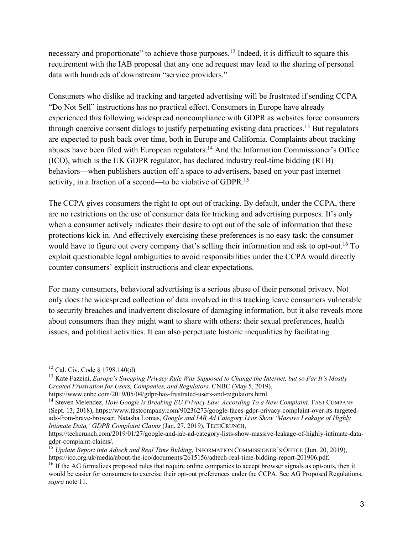necessary and proportionate" to achieve those purposes.<sup>12</sup> Indeed, it is difficult to square this requirement with the IAB proposal that any one ad request may lead to the sharing of personal data with hundreds of downstream "service providers."

Consumers who dislike ad tracking and targeted advertising will be frustrated if sending CCPA "Do Not Sell" instructions has no practical effect. Consumers in Europe have already experienced this following widespread noncompliance with GDPR as websites force consumers through coercive consent dialogs to justify perpetuating existing data practices.13 But regulators are expected to push back over time, both in Europe and California. Complaints about tracking abuses have been filed with European regulators.14 And the Information Commissioner's Office (ICO), which is the UK GDPR regulator, has declared industry real-time bidding (RTB) behaviors—when publishers auction off a space to advertisers, based on your past internet activity, in a fraction of a second—to be violative of GDPR.15

The CCPA gives consumers the right to opt out of tracking. By default, under the CCPA, there are no restrictions on the use of consumer data for tracking and advertising purposes. It's only when a consumer actively indicates their desire to opt out of the sale of information that these protections kick in. And effectively exercising these preferences is no easy task: the consumer would have to figure out every company that's selling their information and ask to opt-out.<sup>16</sup> To exploit questionable legal ambiguities to avoid responsibilities under the CCPA would directly counter consumers' explicit instructions and clear expectations.

For many consumers, behavioral advertising is a serious abuse of their personal privacy. Not only does the widespread collection of data involved in this tracking leave consumers vulnerable to security breaches and inadvertent disclosure of damaging information, but it also reveals more about consumers than they might want to share with others: their sexual preferences, health issues, and political activities. It can also perpetuate historic inequalities by facilitating

 $12$  Cal. Civ. Code § 1798.140(d).

<sup>13</sup> Kate Fazzini, *Europe's Sweeping Privacy Rule Was Supposed to Change the Internet, but so Far It's Mostly Created Frustration for Users, Companies, and Regulators,* CNBC (May 5, 2019), https://www.cnbc.com/2019/05/04/gdpr-has-frustrated-users-and-regulators.html.

<sup>&</sup>lt;sup>14</sup> Steven Melendez, *How Google is Breaking EU Privacy Law, According To a New Complaint, FAST COMPANY* (Sept. 13, 2018), https://www.fastcompany.com/90236273/google-faces-gdpr-privacy-complaint-over-its-targetedads-from-brave-browser; Natasha Lomas, *Google and IAB Ad Category Lists Show 'Massive Leakage of Highly Intimate Data,' GDPR Complaint Claims* (Jan. 27, 2019), TECHCRUNCH,

https://techcrunch.com/2019/01/27/google-and-iab-ad-category-lists-show-massive-leakage-of-highly-intimate-datagdpr-complaint-claims/.

<sup>&</sup>lt;sup>15</sup> *Update Report into Adtech and Real Time Bidding*, INFORMATION COMMISSIONER'S OFFICE (Jun. 20, 2019), https://ico.org.uk/media/about-the-ico/documents/2615156/adtech-real-time-bidding-report-201906.pdf.

<sup>&</sup>lt;sup>16</sup> If the AG formalizes proposed rules that require online companies to accept browser signals as opt-outs, then it would be easier for consumers to exercise their opt-out preferences under the CCPA. See AG Proposed Regulations, *supra* note 11.